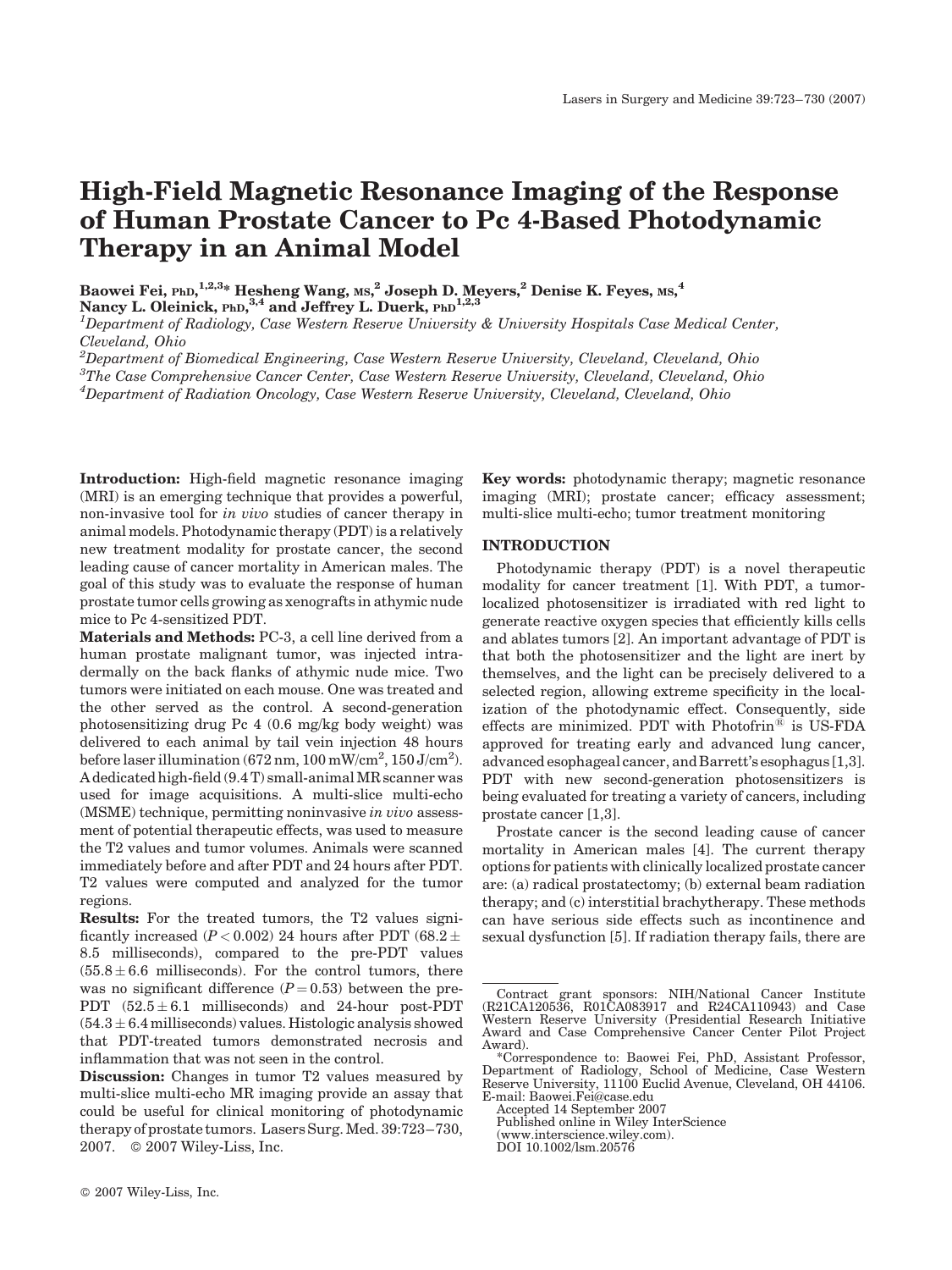# High-Field Magnetic Resonance Imaging of the Response of Human Prostate Cancer to Pc 4-Based Photodynamic Therapy in an Animal Model

Baowei Fei, <sub>PhD,</sub>  $^{1,2,3}$ \* Hesheng Wang, <sub>MS,</sub>  $^2$  Joseph D. Meyers,  $^2$  Denise K. Feyes, <sub>MS,</sub>  $^4$ 

Nancy L. Oleinick, PhD, 3,4 and Jeffrey L. Duerk, PhD<sup>1,2,3</sup>

 $^1$ Department of Radiology, Case Western Reserve University & University Hospitals Case Medical Center, Cleveland, Ohio

 $^{2}$ Department of Biomedical Engineering, Case Western Reserve University, Cleveland, Cleveland, Ohio

 ${}^{3}$ The Case Comprehensive Cancer Center, Case Western Reserve University, Cleveland, Cleveland, Ohio

 ${}^4$ Department of Radiation Oncology, Case Western Reserve University, Cleveland, Cleveland, Ohio

Introduction: High-field magnetic resonance imaging (MRI) is an emerging technique that provides a powerful, non-invasive tool for in vivo studies of cancer therapy in animal models. Photodynamic therapy (PDT) is a relatively new treatment modality for prostate cancer, the second leading cause of cancer mortality in American males. The goal of this study was to evaluate the response of human prostate tumor cells growing as xenografts in athymic nude mice to Pc 4-sensitized PDT.

Materials and Methods: PC-3, a cell line derived from a human prostate malignant tumor, was injected intradermally on the back flanks of athymic nude mice. Two tumors were initiated on each mouse. One was treated and the other served as the control. A second-generation photosensitizing drug Pc 4 (0.6 mg/kg body weight) was delivered to each animal by tail vein injection 48 hours before laser illumination (672 nm,  $100 \text{ mW/cm}^2$ ,  $150 \text{ J/cm}^2$ ). A dedicated high-field (9.4 T) small-animal MR scanner was used for image acquisitions. A multi-slice multi-echo (MSME) technique, permitting noninvasive in vivo assessment of potential therapeutic effects, was used to measure the T2 values and tumor volumes. Animals were scanned immediately before and after PDT and 24 hours after PDT. T2 values were computed and analyzed for the tumor regions.

Results: For the treated tumors, the T2 values significantly increased ( $P < 0.002$ ) 24 hours after PDT (68.2  $\pm$ 8.5 milliseconds), compared to the pre-PDT values  $(55.8 \pm 6.6 \text{ milliseconds})$ . For the control tumors, there was no significant difference  $(P = 0.53)$  between the pre-PDT  $(52.5 \pm 6.1 \text{ milliseconds})$  and 24-hour post-PDT  $(54.3 \pm 6.4$  milliseconds) values. Histologic analysis showed that PDT-treated tumors demonstrated necrosis and inflammation that was not seen in the control.

Key words: photodynamic therapy; magnetic resonance imaging (MRI); prostate cancer; efficacy assessment; multi-slice multi-echo; tumor treatment monitoring

# INTRODUCTION

Photodynamic therapy (PDT) is a novel therapeutic modality for cancer treatment [1]. With PDT, a tumorlocalized photosensitizer is irradiated with red light to generate reactive oxygen species that efficiently kills cells and ablates tumors [2]. An important advantage of PDT is that both the photosensitizer and the light are inert by themselves, and the light can be precisely delivered to a selected region, allowing extreme specificity in the localization of the photodynamic effect. Consequently, side effects are minimized. PDT with Photofrin*<sup>1</sup>* is US-FDA approved for treating early and advanced lung cancer, advanced esophageal cancer, and Barrett's esophagus [1,3]. PDT with new second-generation photosensitizers is being evaluated for treating a variety of cancers, including prostate cancer [1,3].

Prostate cancer is the second leading cause of cancer mortality in American males [4]. The current therapy options for patients with clinically localized prostate cancer are: (a) radical prostatectomy; (b) external beam radiation therapy; and (c) interstitial brachytherapy. These methods can have serious side effects such as incontinence and sexual dysfunction [5]. If radiation therapy fails, there are

Accepted 14 September 2007

Published online in Wiley InterScience

Discussion: Changes in tumor T2 values measured by multi-slice multi-echo MR imaging provide an assay that could be useful for clinical monitoring of photodynamic therapy of prostate tumors. Lasers Surg. Med. 39:723–730, 2007. © 2007 Wiley-Liss, Inc.

Contract grant sponsors: NIH/National Cancer Institute (R21CA120536, R01CA083917 and R24CA110943) and Case Western Reserve University (Presidential Research Initiative Award and Case Comprehensive Cancer Center Pilot Project Award).

<sup>\*</sup>Correspondence to: Baowei Fei, PhD, Assistant Professor, Department of Radiology, School of Medicine, Case Western Reserve University, 11100 Euclid Avenue, Cleveland, OH 44106. E-mail: Baowei.Fei@case.edu

<sup>(</sup>www.interscience.wiley.com).

DOI 10.1002/lsm.20576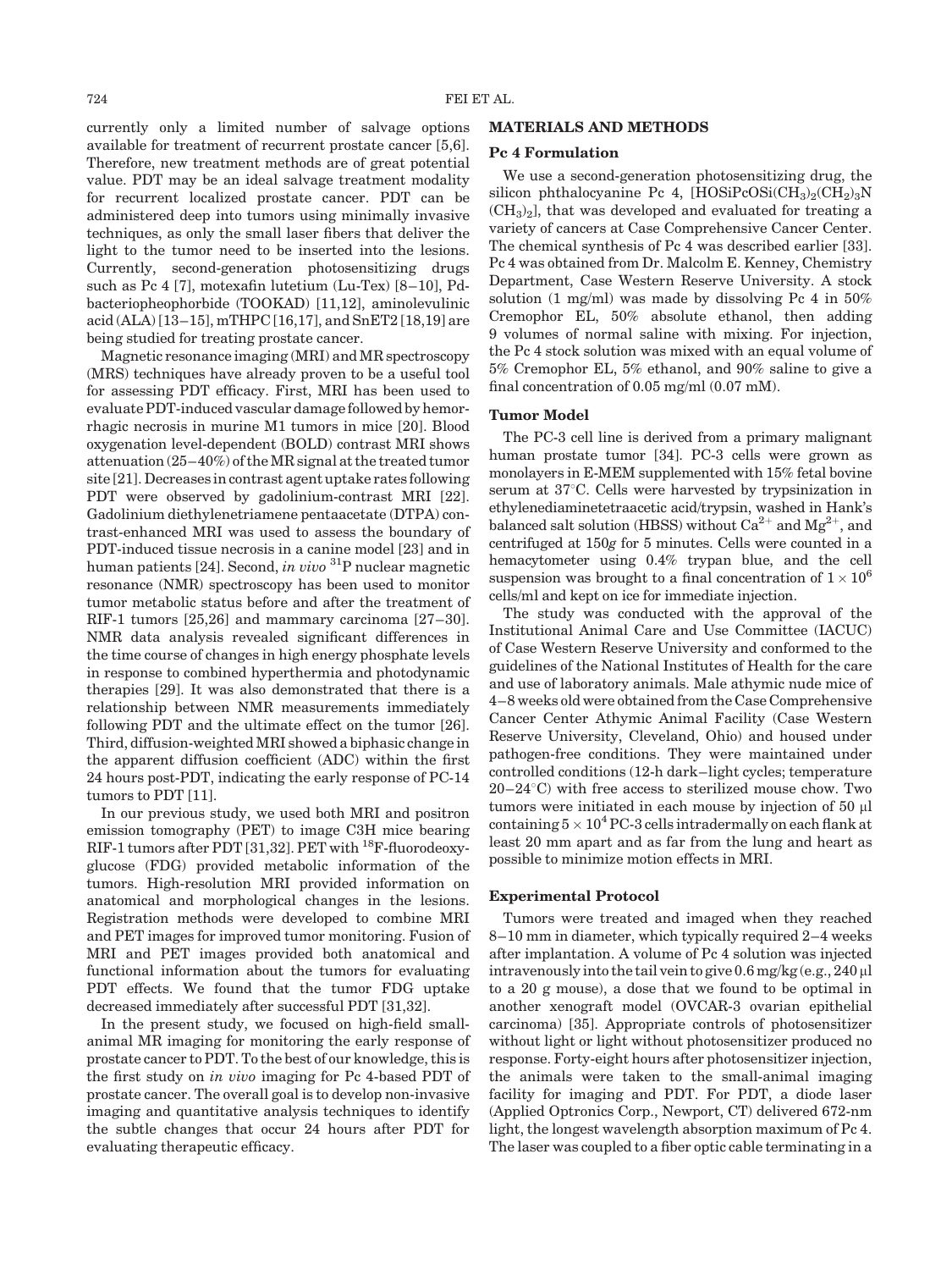currently only a limited number of salvage options available for treatment of recurrent prostate cancer [5,6]. Therefore, new treatment methods are of great potential value. PDT may be an ideal salvage treatment modality for recurrent localized prostate cancer. PDT can be administered deep into tumors using minimally invasive techniques, as only the small laser fibers that deliver the light to the tumor need to be inserted into the lesions. Currently, second-generation photosensitizing drugs such as Pc 4 [7], motexafin lutetium (Lu-Tex) [8–10], Pdbacteriopheophorbide (TOOKAD) [11,12], aminolevulinic acid (ALA) [13–15], mTHPC [16,17], and SnET2 [18,19] are being studied for treating prostate cancer.

Magnetic resonance imaging (MRI) and MR spectroscopy (MRS) techniques have already proven to be a useful tool for assessing PDT efficacy. First, MRI has been used to evaluate PDT-induced vascular damage followed by hemorrhagic necrosis in murine M1 tumors in mice [20]. Blood oxygenation level-dependent (BOLD) contrast MRI shows attenuation (25–40%) of the MR signal at the treated tumor site [21]. Decreases in contrast agent uptake rates following PDT were observed by gadolinium-contrast MRI [22]. Gadolinium diethylenetriamene pentaacetate (DTPA) contrast-enhanced MRI was used to assess the boundary of PDT-induced tissue necrosis in a canine model [23] and in human patients [24]. Second, in vivo <sup>31</sup>P nuclear magnetic resonance (NMR) spectroscopy has been used to monitor tumor metabolic status before and after the treatment of RIF-1 tumors [25,26] and mammary carcinoma [27–30]. NMR data analysis revealed significant differences in the time course of changes in high energy phosphate levels in response to combined hyperthermia and photodynamic therapies [29]. It was also demonstrated that there is a relationship between NMR measurements immediately following PDT and the ultimate effect on the tumor [26]. Third, diffusion-weighted MRI showed a biphasic change in the apparent diffusion coefficient (ADC) within the first 24 hours post-PDT, indicating the early response of PC-14 tumors to PDT [11].

In our previous study, we used both MRI and positron emission tomography (PET) to image C3H mice bearing RIF-1 tumors after PDT [31,32]. PET with <sup>18</sup>F-fluorodeoxyglucose (FDG) provided metabolic information of the tumors. High-resolution MRI provided information on anatomical and morphological changes in the lesions. Registration methods were developed to combine MRI and PET images for improved tumor monitoring. Fusion of MRI and PET images provided both anatomical and functional information about the tumors for evaluating PDT effects. We found that the tumor FDG uptake decreased immediately after successful PDT [31,32].

In the present study, we focused on high-field smallanimal MR imaging for monitoring the early response of prostate cancer to PDT. To the best of our knowledge, this is the first study on in vivo imaging for Pc 4-based PDT of prostate cancer. The overall goal is to develop non-invasive imaging and quantitative analysis techniques to identify the subtle changes that occur 24 hours after PDT for evaluating therapeutic efficacy.

## MATERIALS AND METHODS

#### Pc 4 Formulation

We use a second-generation photosensitizing drug, the silicon phthalocyanine Pc 4,  $[HOSiPCOSi(CH_3)_2(CH_2)_3N$  $(CH<sub>3</sub>)<sub>2</sub>$ , that was developed and evaluated for treating a variety of cancers at Case Comprehensive Cancer Center. The chemical synthesis of Pc 4 was described earlier [33]. Pc 4 was obtained from Dr. Malcolm E. Kenney, Chemistry Department, Case Western Reserve University. A stock solution (1 mg/ml) was made by dissolving Pc 4 in 50% Cremophor EL, 50% absolute ethanol, then adding 9 volumes of normal saline with mixing. For injection, the Pc 4 stock solution was mixed with an equal volume of 5% Cremophor EL, 5% ethanol, and 90% saline to give a final concentration of 0.05 mg/ml (0.07 mM).

## Tumor Model

The PC-3 cell line is derived from a primary malignant human prostate tumor [34]. PC-3 cells were grown as monolayers in E-MEM supplemented with 15% fetal bovine serum at  $37^{\circ}$ C. Cells were harvested by trypsinization in ethylenediaminetetraacetic acid/trypsin, washed in Hank's balanced salt solution (HBSS) without  $Ca^{2+}$  and  $Mg^{2+}$ , and centrifuged at 150g for 5 minutes. Cells were counted in a hemacytometer using 0.4% trypan blue, and the cell suspension was brought to a final concentration of  $1 \times 10^6$ cells/ml and kept on ice for immediate injection.

The study was conducted with the approval of the Institutional Animal Care and Use Committee (IACUC) of Case Western Reserve University and conformed to the guidelines of the National Institutes of Health for the care and use of laboratory animals. Male athymic nude mice of 4–8 weeks old were obtained from the Case Comprehensive Cancer Center Athymic Animal Facility (Case Western Reserve University, Cleveland, Ohio) and housed under pathogen-free conditions. They were maintained under controlled conditions (12-h dark–light cycles; temperature  $20-24$ °C) with free access to sterilized mouse chow. Two tumors were initiated in each mouse by injection of 50  $\mu$ l containing  $5\times 10^4$  PC-3 cells intradermally on each flank at least 20 mm apart and as far from the lung and heart as possible to minimize motion effects in MRI.

#### Experimental Protocol

Tumors were treated and imaged when they reached 8–10 mm in diameter, which typically required 2–4 weeks after implantation. A volume of Pc 4 solution was injected intravenously into the tail vein to give  $0.6$  mg/kg (e.g.,  $240$  µl to a 20 g mouse), a dose that we found to be optimal in another xenograft model (OVCAR-3 ovarian epithelial carcinoma) [35]. Appropriate controls of photosensitizer without light or light without photosensitizer produced no response. Forty-eight hours after photosensitizer injection, the animals were taken to the small-animal imaging facility for imaging and PDT. For PDT, a diode laser (Applied Optronics Corp., Newport, CT) delivered 672-nm light, the longest wavelength absorption maximum of Pc 4. The laser was coupled to a fiber optic cable terminating in a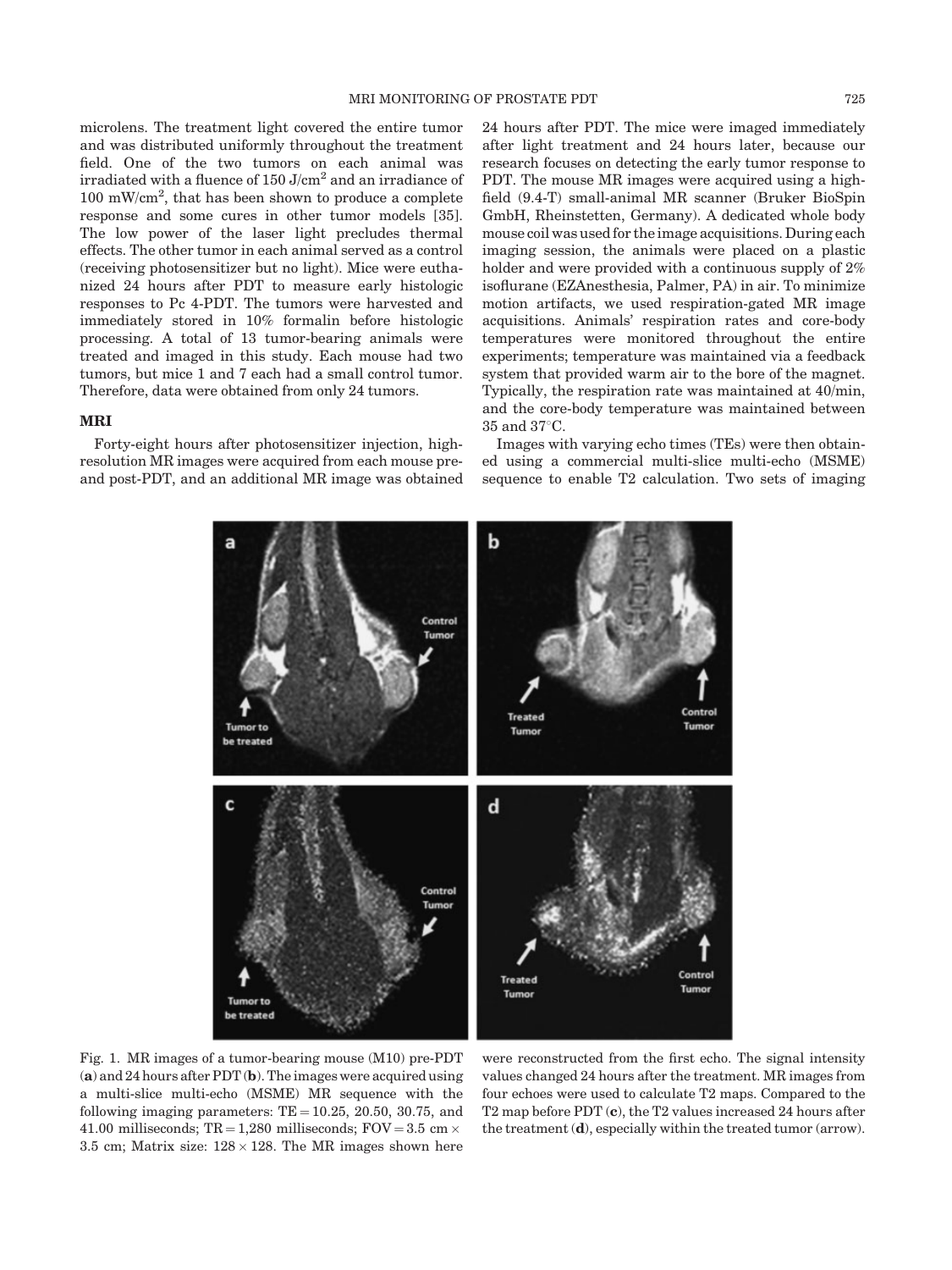microlens. The treatment light covered the entire tumor and was distributed uniformly throughout the treatment field. One of the two tumors on each animal was irradiated with a fluence of  $150$  J/cm<sup>2</sup> and an irradiance of 100 mW/cm<sup>2</sup> , that has been shown to produce a complete response and some cures in other tumor models [35]. The low power of the laser light precludes thermal effects. The other tumor in each animal served as a control (receiving photosensitizer but no light). Mice were euthanized 24 hours after PDT to measure early histologic responses to Pc 4-PDT. The tumors were harvested and immediately stored in 10% formalin before histologic processing. A total of 13 tumor-bearing animals were treated and imaged in this study. Each mouse had two tumors, but mice 1 and 7 each had a small control tumor. Therefore, data were obtained from only 24 tumors.

## MRI

Forty-eight hours after photosensitizer injection, highresolution MR images were acquired from each mouse preand post-PDT, and an additional MR image was obtained 24 hours after PDT. The mice were imaged immediately after light treatment and 24 hours later, because our research focuses on detecting the early tumor response to PDT. The mouse MR images were acquired using a highfield (9.4-T) small-animal MR scanner (Bruker BioSpin GmbH, Rheinstetten, Germany). A dedicated whole body mouse coil was used for the image acquisitions. During each imaging session, the animals were placed on a plastic holder and were provided with a continuous supply of 2% isoflurane (EZAnesthesia, Palmer, PA) in air. To minimize motion artifacts, we used respiration-gated MR image acquisitions. Animals' respiration rates and core-body temperatures were monitored throughout the entire experiments; temperature was maintained via a feedback system that provided warm air to the bore of the magnet. Typically, the respiration rate was maintained at 40/min, and the core-body temperature was maintained between  $35$  and  $37^{\circ}$ C.

Images with varying echo times (TEs) were then obtained using a commercial multi-slice multi-echo (MSME) sequence to enable T2 calculation. Two sets of imaging



Fig. 1. MR images of a tumor-bearing mouse (M10) pre-PDT (a) and 24 hours after PDT (b). The images were acquired using a multi-slice multi-echo (MSME) MR sequence with the following imaging parameters:  $TE = 10.25$ , 20.50, 30.75, and 41.00 milliseconds; TR = 1,280 milliseconds; FOV = 3.5 cm  $\times$ 3.5 cm; Matrix size:  $128 \times 128$ . The MR images shown here

were reconstructed from the first echo. The signal intensity values changed 24 hours after the treatment. MR images from four echoes were used to calculate T2 maps. Compared to the T2 map before PDT (c), the T2 values increased 24 hours after the treatment (d), especially within the treated tumor (arrow).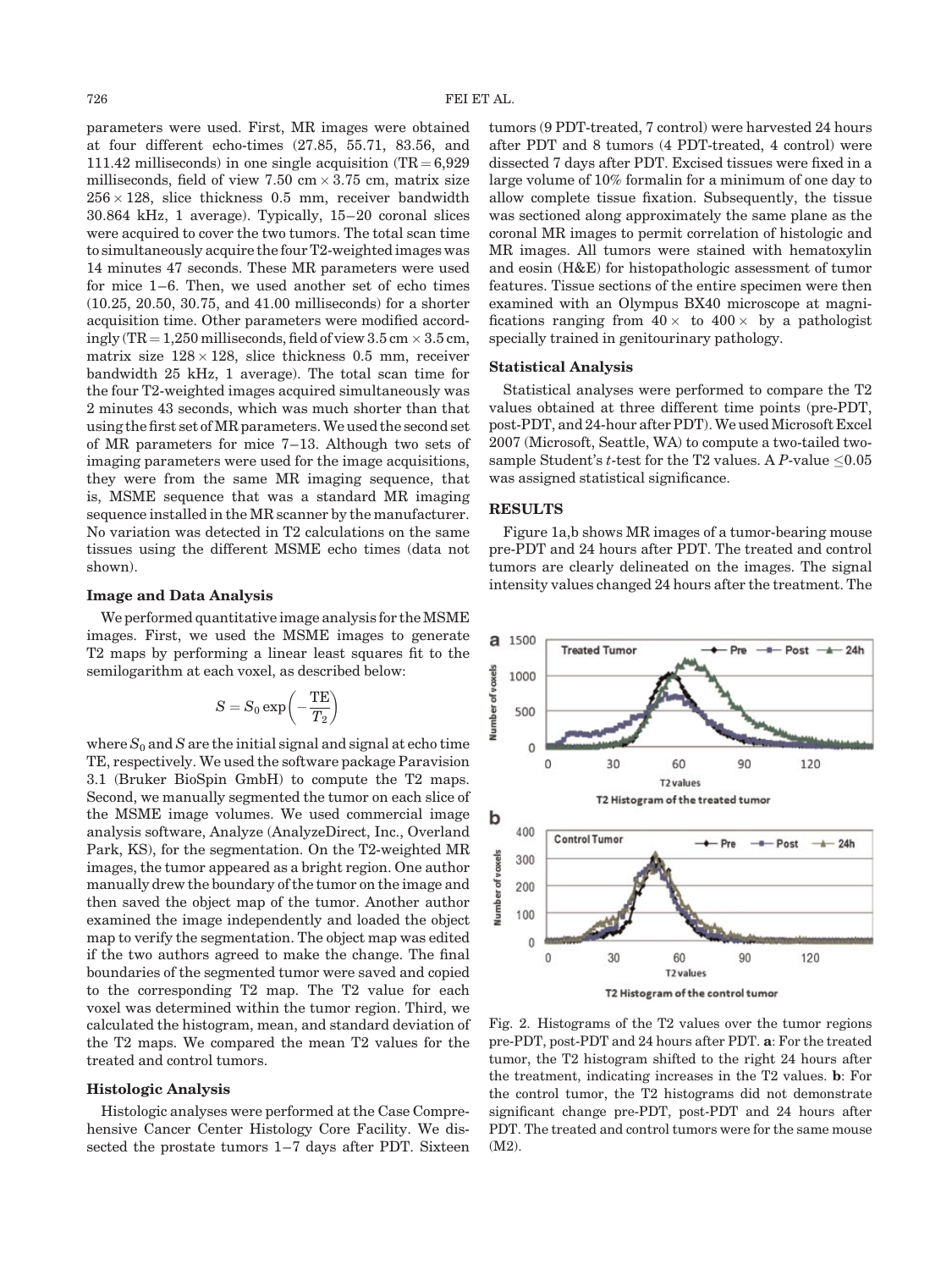parameters were used. First, MR images were obtained at four different echo-times (27.85, 55.71, 83.56, and 111.42 milliseconds) in one single acquisition  $(TR = 6.929)$ milliseconds, field of view 7.50 cm  $\times\,3.75$  cm, matrix size  $256 \times 128$ , slice thickness 0.5 mm, receiver bandwidth 30.864 kHz, 1 average). Typically, 15–20 coronal slices were acquired to cover the two tumors. The total scan time to simultaneously acquire the four T2-weighted images was 14 minutes 47 seconds. These MR parameters were used for mice 1–6. Then, we used another set of echo times (10.25, 20.50, 30.75, and 41.00 milliseconds) for a shorter acquisition time. Other parameters were modified accordingly (TR  $=$  1,250 milliseconds, field of view 3.5 cm  $\times$  3.5 cm, matrix size  $128 \times 128$ , slice thickness 0.5 mm, receiver bandwidth 25 kHz, 1 average). The total scan time for the four T2-weighted images acquired simultaneously was 2 minutes 43 seconds, which was much shorter than that using the first set of MR parameters. We used the second set of MR parameters for mice 7–13. Although two sets of imaging parameters were used for the image acquisitions, they were from the same MR imaging sequence, that is, MSME sequence that was a standard MR imaging sequence installed in the MR scanner by the manufacturer. No variation was detected in T2 calculations on the same tissues using the different MSME echo times (data not shown).

#### Image and Data Analysis

We performed quantitative image analysis for the MSME images. First, we used the MSME images to generate T2 maps by performing a linear least squares fit to the semilogarithm at each voxel, as described below:

$$
S=S_0\exp\biggl(-\frac{\mathrm{TE}}{T_2}\biggr)
$$

where  $S_0$  and S are the initial signal and signal at echo time TE, respectively. We used the software package Paravision 3.1 (Bruker BioSpin GmbH) to compute the T2 maps. Second, we manually segmented the tumor on each slice of the MSME image volumes. We used commercial image analysis software, Analyze (AnalyzeDirect, Inc., Overland Park, KS), for the segmentation. On the T2-weighted MR images, the tumor appeared as a bright region. One author manually drew the boundary of the tumor on the image and then saved the object map of the tumor. Another author examined the image independently and loaded the object map to verify the segmentation. The object map was edited if the two authors agreed to make the change. The final boundaries of the segmented tumor were saved and copied to the corresponding T2 map. The T2 value for each voxel was determined within the tumor region. Third, we calculated the histogram, mean, and standard deviation of the T2 maps. We compared the mean T2 values for the treated and control tumors.

### Histologic Analysis

Histologic analyses were performed at the Case Comprehensive Cancer Center Histology Core Facility. We dissected the prostate tumors 1–7 days after PDT. Sixteen tumors (9 PDT-treated, 7 control) were harvested 24 hours after PDT and 8 tumors (4 PDT-treated, 4 control) were dissected 7 days after PDT. Excised tissues were fixed in a large volume of 10% formalin for a minimum of one day to allow complete tissue fixation. Subsequently, the tissue was sectioned along approximately the same plane as the coronal MR images to permit correlation of histologic and MR images. All tumors were stained with hematoxylin and eosin (H&E) for histopathologic assessment of tumor features. Tissue sections of the entire specimen were then examined with an Olympus BX40 microscope at magnifications ranging from  $40 \times$  to  $400 \times$  by a pathologist specially trained in genitourinary pathology.

## Statistical Analysis

Statistical analyses were performed to compare the T2 values obtained at three different time points (pre-PDT, post-PDT, and 24-hour after PDT). We used Microsoft Excel 2007 (Microsoft, Seattle, WA) to compute a two-tailed twosample Student's t-test for the T2 values. A P-value  $\leq 0.05$ was assigned statistical significance.

## RESULTS

Figure 1a,b shows MR images of a tumor-bearing mouse pre-PDT and 24 hours after PDT. The treated and control tumors are clearly delineated on the images. The signal intensity values changed 24 hours after the treatment. The



Fig. 2. Histograms of the T2 values over the tumor regions pre-PDT, post-PDT and 24 hours after PDT. a: For the treated tumor, the T2 histogram shifted to the right 24 hours after the treatment, indicating increases in the T2 values. b: For the control tumor, the T2 histograms did not demonstrate significant change pre-PDT, post-PDT and 24 hours after PDT. The treated and control tumors were for the same mouse (M2).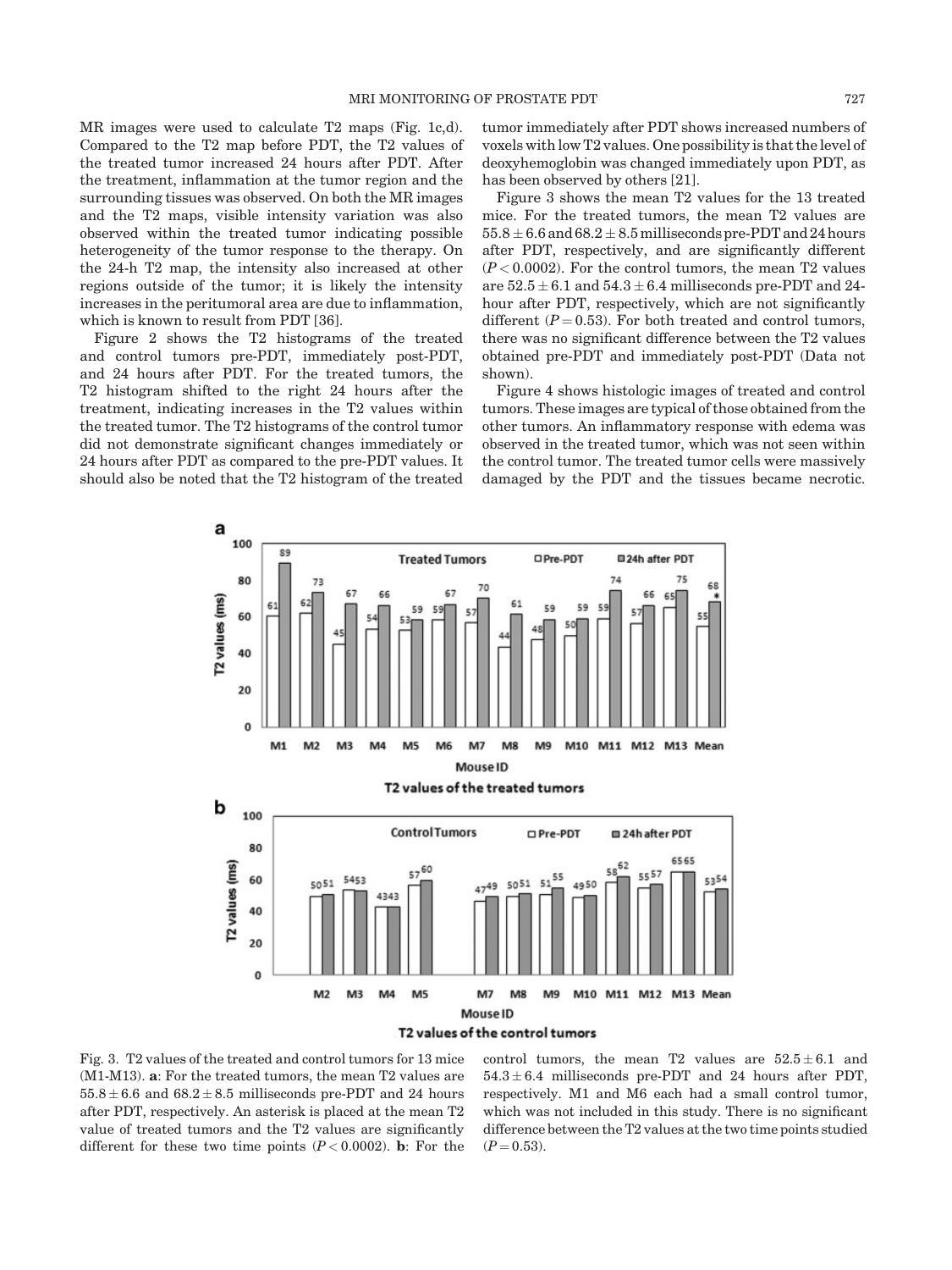MR images were used to calculate T2 maps (Fig. 1c,d). Compared to the T2 map before PDT, the T2 values of the treated tumor increased 24 hours after PDT. After the treatment, inflammation at the tumor region and the surrounding tissues was observed. On both the MR images and the T2 maps, visible intensity variation was also observed within the treated tumor indicating possible heterogeneity of the tumor response to the therapy. On the 24-h T2 map, the intensity also increased at other regions outside of the tumor; it is likely the intensity increases in the peritumoral area are due to inflammation, which is known to result from PDT [36].

Figure 2 shows the T2 histograms of the treated and control tumors pre-PDT, immediately post-PDT, and 24 hours after PDT. For the treated tumors, the T2 histogram shifted to the right 24 hours after the treatment, indicating increases in the T2 values within the treated tumor. The T2 histograms of the control tumor did not demonstrate significant changes immediately or 24 hours after PDT as compared to the pre-PDT values. It should also be noted that the T2 histogram of the treated tumor immediately after PDT shows increased numbers of voxels with low T2 values. One possibility is that the level of deoxyhemoglobin was changed immediately upon PDT, as has been observed by others [21].

Figure 3 shows the mean T2 values for the 13 treated mice. For the treated tumors, the mean T2 values are  $55.8 \pm 6.6$  and  $68.2 \pm 8.5$  milliseconds pre-PDT and 24 hours after PDT, respectively, and are significantly different  $(P<0.0002)$ . For the control tumors, the mean T2 values are  $52.5 \pm 6.1$  and  $54.3 \pm 6.4$  milliseconds pre-PDT and 24hour after PDT, respectively, which are not significantly different ( $P = 0.53$ ). For both treated and control tumors, there was no significant difference between the T2 values obtained pre-PDT and immediately post-PDT (Data not shown).

Figure 4 shows histologic images of treated and control tumors. These images are typical of those obtained from the other tumors. An inflammatory response with edema was observed in the treated tumor, which was not seen within the control tumor. The treated tumor cells were massively damaged by the PDT and the tissues became necrotic.



Fig. 3. T2 values of the treated and control tumors for 13 mice (M1-M13). a: For the treated tumors, the mean T2 values are  $55.8 \pm 6.6$  and  $68.2 \pm 8.5$  milliseconds pre-PDT and 24 hours after PDT, respectively. An asterisk is placed at the mean T2 value of treated tumors and the T2 values are significantly different for these two time points  $(P < 0.0002)$ . **b**: For the

control tumors, the mean T2 values are  $52.5 \pm 6.1$  and  $54.3 \pm 6.4$  milliseconds pre-PDT and 24 hours after PDT, respectively. M1 and M6 each had a small control tumor, which was not included in this study. There is no significant difference between the T2 values at the two time points studied  $(P = 0.53)$ .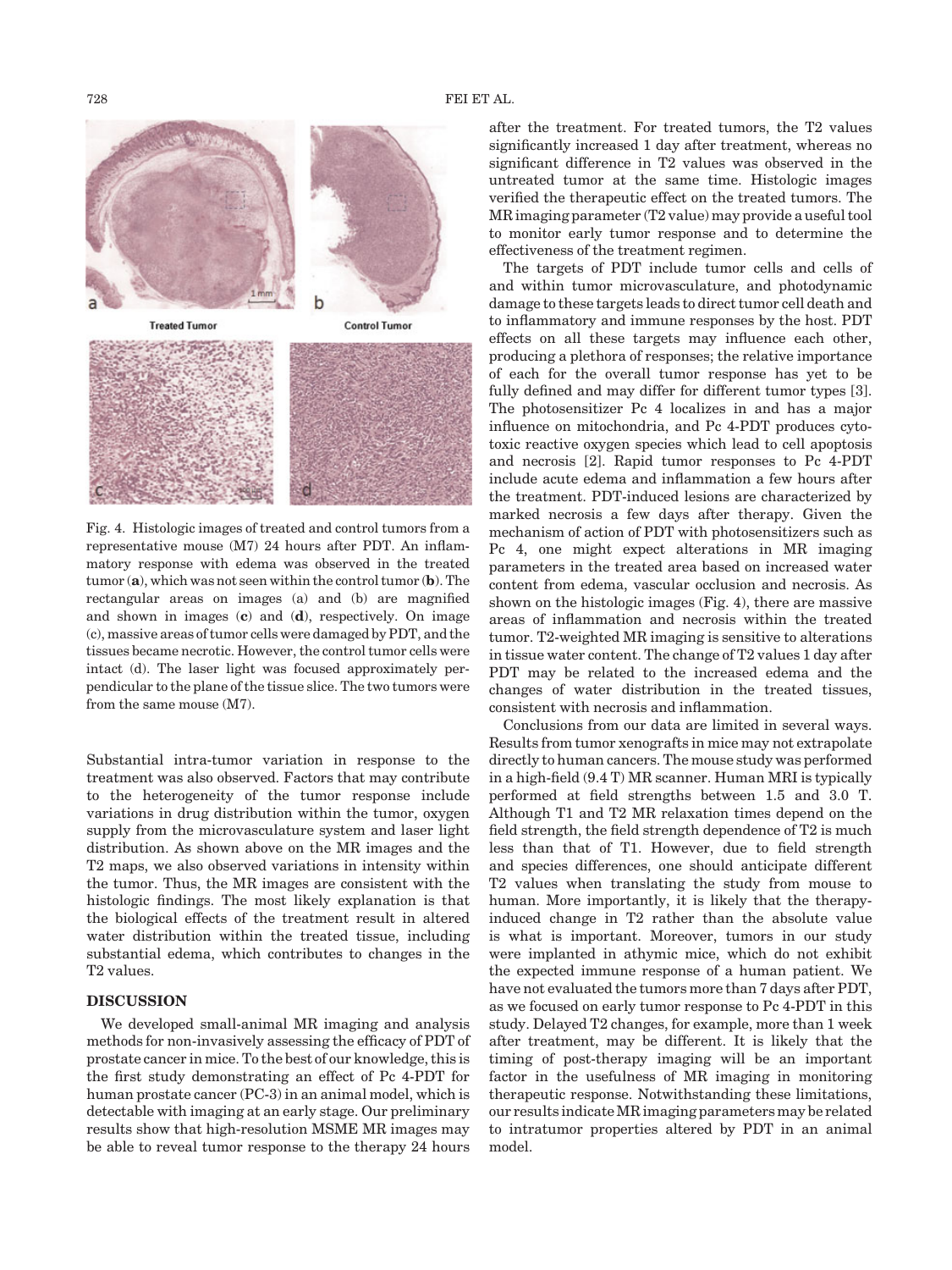

Fig. 4. Histologic images of treated and control tumors from a representative mouse (M7) 24 hours after PDT. An inflammatory response with edema was observed in the treated tumor  $(a)$ , which was not seen within the control tumor  $(b)$ . The rectangular areas on images (a) and (b) are magnified and shown in images  $(c)$  and  $(d)$ , respectively. On image (c), massive areas of tumor cells were damaged by PDT, and the tissues became necrotic. However, the control tumor cells were intact (d). The laser light was focused approximately perpendicular to the plane of the tissue slice. The two tumors were from the same mouse (M7).

Substantial intra-tumor variation in response to the treatment was also observed. Factors that may contribute to the heterogeneity of the tumor response include variations in drug distribution within the tumor, oxygen supply from the microvasculature system and laser light distribution. As shown above on the MR images and the T2 maps, we also observed variations in intensity within the tumor. Thus, the MR images are consistent with the histologic findings. The most likely explanation is that the biological effects of the treatment result in altered water distribution within the treated tissue, including substantial edema, which contributes to changes in the T2 values.

# DISCUSSION

We developed small-animal MR imaging and analysis methods for non-invasively assessing the efficacy of PDT of prostate cancer in mice. To the best of our knowledge, this is the first study demonstrating an effect of Pc 4-PDT for human prostate cancer (PC-3) in an animal model, which is detectable with imaging at an early stage. Our preliminary results show that high-resolution MSME MR images may be able to reveal tumor response to the therapy 24 hours

after the treatment. For treated tumors, the T2 values significantly increased 1 day after treatment, whereas no significant difference in T2 values was observed in the untreated tumor at the same time. Histologic images verified the therapeutic effect on the treated tumors. The MR imaging parameter (T2 value) may provide a useful tool to monitor early tumor response and to determine the effectiveness of the treatment regimen.

The targets of PDT include tumor cells and cells of and within tumor microvasculature, and photodynamic damage to these targets leads to direct tumor cell death and to inflammatory and immune responses by the host. PDT effects on all these targets may influence each other, producing a plethora of responses; the relative importance of each for the overall tumor response has yet to be fully defined and may differ for different tumor types [3]. The photosensitizer Pc 4 localizes in and has a major influence on mitochondria, and Pc 4-PDT produces cytotoxic reactive oxygen species which lead to cell apoptosis and necrosis [2]. Rapid tumor responses to Pc 4-PDT include acute edema and inflammation a few hours after the treatment. PDT-induced lesions are characterized by marked necrosis a few days after therapy. Given the mechanism of action of PDT with photosensitizers such as Pc 4, one might expect alterations in MR imaging parameters in the treated area based on increased water content from edema, vascular occlusion and necrosis. As shown on the histologic images (Fig. 4), there are massive areas of inflammation and necrosis within the treated tumor. T2-weighted MR imaging is sensitive to alterations in tissue water content. The change of T2 values 1 day after PDT may be related to the increased edema and the changes of water distribution in the treated tissues, consistent with necrosis and inflammation.

Conclusions from our data are limited in several ways. Results from tumor xenografts in mice may not extrapolate directly to human cancers. The mouse study was performed in a high-field (9.4 T) MR scanner. Human MRI is typically performed at field strengths between 1.5 and 3.0 T. Although T1 and T2 MR relaxation times depend on the field strength, the field strength dependence of T2 is much less than that of T1. However, due to field strength and species differences, one should anticipate different T2 values when translating the study from mouse to human. More importantly, it is likely that the therapyinduced change in T2 rather than the absolute value is what is important. Moreover, tumors in our study were implanted in athymic mice, which do not exhibit the expected immune response of a human patient. We have not evaluated the tumors more than 7 days after PDT, as we focused on early tumor response to Pc 4-PDT in this study. Delayed T2 changes, for example, more than 1 week after treatment, may be different. It is likely that the timing of post-therapy imaging will be an important factor in the usefulness of MR imaging in monitoring therapeutic response. Notwithstanding these limitations, our results indicate MR imaging parameters may be related to intratumor properties altered by PDT in an animal model.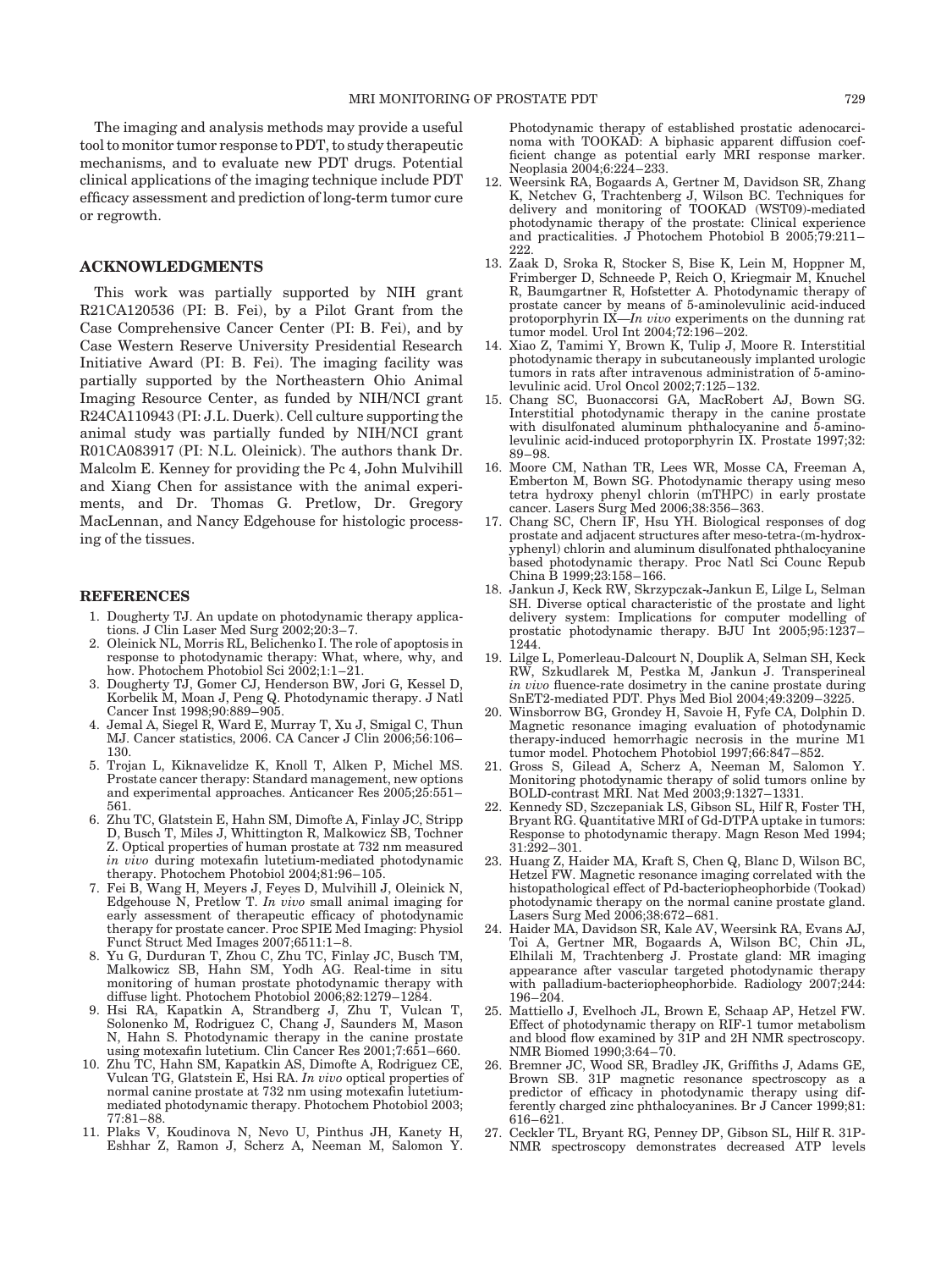The imaging and analysis methods may provide a useful tool to monitor tumor response to PDT, to study therapeutic mechanisms, and to evaluate new PDT drugs. Potential clinical applications of the imaging technique include PDT efficacy assessment and prediction of long-term tumor cure or regrowth.

## ACKNOWLEDGMENTS

This work was partially supported by NIH grant R21CA120536 (PI: B. Fei), by a Pilot Grant from the Case Comprehensive Cancer Center (PI: B. Fei), and by Case Western Reserve University Presidential Research Initiative Award (PI: B. Fei). The imaging facility was partially supported by the Northeastern Ohio Animal Imaging Resource Center, as funded by NIH/NCI grant R24CA110943 (PI: J.L. Duerk). Cell culture supporting the animal study was partially funded by NIH/NCI grant R01CA083917 (PI: N.L. Oleinick). The authors thank Dr. Malcolm E. Kenney for providing the Pc 4, John Mulvihill and Xiang Chen for assistance with the animal experiments, and Dr. Thomas G. Pretlow, Dr. Gregory MacLennan, and Nancy Edgehouse for histologic processing of the tissues.

#### REFERENCES

- 1. Dougherty TJ. An update on photodynamic therapy applications. J Clin Laser Med Surg 2002;20:3–7.
- 2. Oleinick NL, Morris RL, Belichenko I. The role of apoptosis in response to photodynamic therapy: What, where, why, and how. Photochem Photobiol Sci 2002;1:1–21.
- 3. Dougherty TJ, Gomer CJ, Henderson BW, Jori G, Kessel D, Korbelik M, Moan J, Peng Q. Photodynamic therapy. J Natl Cancer Inst 1998;90:889–905.
- 4. Jemal A, Siegel R, Ward E, Murray T, Xu J, Smigal C, Thun MJ. Cancer statistics, 2006. CA Cancer J Clin 2006;56:106– 130.
- 5. Trojan L, Kiknavelidze K, Knoll T, Alken P, Michel MS. Prostate cancer therapy: Standard management, new options and experimental approaches. Anticancer Res 2005;25:551– 561.
- 6. Zhu TC, Glatstein E, Hahn SM, Dimofte A, Finlay JC, Stripp D, Busch T, Miles J, Whittington R, Malkowicz SB, Tochner Z. Optical properties of human prostate at 732 nm measured in vivo during motexafin lutetium-mediated photodynamic therapy. Photochem Photobiol 2004;81:96–105.
- 7. Fei B, Wang H, Meyers J, Feyes D, Mulvihill J, Oleinick N, Edgehouse N, Pretlow T. In vivo small animal imaging for early assessment of therapeutic efficacy of photodynamic therapy for prostate cancer. Proc SPIE Med Imaging: Physiol Funct Struct Med Images 2007;6511:1–8.
- 8. Yu G, Durduran T, Zhou C, Zhu TC, Finlay JC, Busch TM, Malkowicz SB, Hahn SM, Yodh AG. Real-time in situ monitoring of human prostate photodynamic therapy with diffuse light. Photochem Photobiol 2006;82:1279–1284.
- 9. Hsi RA, Kapatkin A, Strandberg J, Zhu T, Vulcan T, Solonenko M, Rodriguez C, Chang J, Saunders M, Mason N, Hahn S. Photodynamic therapy in the canine prostate using motexafin lutetium. Clin Cancer Res 2001;7:651–660.
- 10. Zhu TC, Hahn SM, Kapatkin AS, Dimofte A, Rodriguez CE, Vulcan TG, Glatstein E, Hsi RA. In vivo optical properties of normal canine prostate at 732 nm using motexafin lutetiummediated photodynamic therapy. Photochem Photobiol 2003; 77:81–88.
- 11. Plaks V, Koudinova N, Nevo U, Pinthus JH, Kanety H, Eshhar Z, Ramon J, Scherz A, Neeman M, Salomon Y.

Photodynamic therapy of established prostatic adenocarcinoma with TOOKAD: A biphasic apparent diffusion coefficient change as potential early MRI response marker. Neoplasia 2004;6:224–233.

- 12. Weersink RA, Bogaards A, Gertner M, Davidson SR, Zhang K, Netchev G, Trachtenberg J, Wilson BC. Techniques for delivery and monitoring of TOOKAD (WST09)-mediated photodynamic therapy of the prostate: Clinical experience and practicalities. J Photochem Photobiol B 2005;79:211– 222.
- 13. Zaak D, Sroka R, Stocker S, Bise K, Lein M, Hoppner M, Frimberger D, Schneede P, Reich O, Kriegmair M, Knuchel R, Baumgartner R, Hofstetter A. Photodynamic therapy of prostate cancer by means of 5-aminolevulinic acid-induced protoporphyrin  $IX$ —In vivo experiments on the dunning rat tumor model. Urol Int 2004;72:196–202.
- 14. Xiao Z, Tamimi Y, Brown K, Tulip J, Moore R. Interstitial photodynamic therapy in subcutaneously implanted urologic tumors in rats after intravenous administration of 5-aminolevulinic acid. Urol Oncol 2002;7:125–132.
- 15. Chang SC, Buonaccorsi GA, MacRobert AJ, Bown SG. Interstitial photodynamic therapy in the canine prostate with disulfonated aluminum phthalocyanine and 5-aminolevulinic acid-induced protoporphyrin IX. Prostate 1997;32: 89–98.
- 16. Moore CM, Nathan TR, Lees WR, Mosse CA, Freeman A, Emberton M, Bown SG. Photodynamic therapy using meso tetra hydroxy phenyl chlorin (mTHPC) in early prostate cancer. Lasers Surg Med 2006;38:356–363.
- 17. Chang SC, Chern IF, Hsu YH. Biological responses of dog prostate and adjacent structures after meso-tetra-(m-hydroxyphenyl) chlorin and aluminum disulfonated phthalocyanine based photodynamic therapy. Proc Natl Sci Counc Repub China B 1999;23:158–166.
- 18. Jankun J, Keck RW, Skrzypczak-Jankun E, Lilge L, Selman SH. Diverse optical characteristic of the prostate and light delivery system: Implications for computer modelling of prostatic photodynamic therapy. BJU Int 2005;95:1237– 1244.
- 19. Lilge L, Pomerleau-Dalcourt N, Douplik A, Selman SH, Keck RW, Szkudlarek M, Pestka M, Jankun J. Transperineal in vivo fluence-rate dosimetry in the canine prostate during SnET2-mediated PDT. Phys Med Biol 2004;49:3209–3225.
- 20. Winsborrow BG, Grondey H, Savoie H, Fyfe CA, Dolphin D. Magnetic resonance imaging evaluation of photodynamic therapy-induced hemorrhagic necrosis in the murine M1 tumor model. Photochem Photobiol 1997;66:847–852.
- 21. Gross S, Gilead A, Scherz A, Neeman M, Salomon Y. Monitoring photodynamic therapy of solid tumors online by BOLD-contrast MRI. Nat Med 2003;9:1327–1331.
- 22. Kennedy SD, Szczepaniak LS, Gibson SL, Hilf R, Foster TH, Bryant RG. Quantitative MRI of Gd-DTPA uptake in tumors: Response to photodynamic therapy. Magn Reson Med 1994; 31:292–301.
- 23. Huang Z, Haider MA, Kraft S, Chen Q, Blanc D, Wilson BC, Hetzel FW. Magnetic resonance imaging correlated with the histopathological effect of Pd-bacteriopheophorbide (Tookad) photodynamic therapy on the normal canine prostate gland. Lasers Surg Med 2006;38:672–681.
- 24. Haider MA, Davidson SR, Kale AV, Weersink RA, Evans AJ, Toi A, Gertner MR, Bogaards A, Wilson BC, Chin JL, Elhilali M, Trachtenberg J. Prostate gland: MR imaging appearance after vascular targeted photodynamic therapy with palladium-bacteriopheophorbide. Radiology 2007;244: 196–204.
- 25. Mattiello J, Evelhoch JL, Brown E, Schaap AP, Hetzel FW. Effect of photodynamic therapy on RIF-1 tumor metabolism and blood flow examined by 31P and 2H NMR spectroscopy. NMR Biomed 1990;3:64–70.
- 26. Bremner JC, Wood SR, Bradley JK, Griffiths J, Adams GE, Brown SB. 31P magnetic resonance spectroscopy as a predictor of efficacy in photodynamic therapy using differently charged zinc phthalocyanines. Br J Cancer 1999;81: 616–621.
- 27. Ceckler TL, Bryant RG, Penney DP, Gibson SL, Hilf R. 31P-NMR spectroscopy demonstrates decreased ATP levels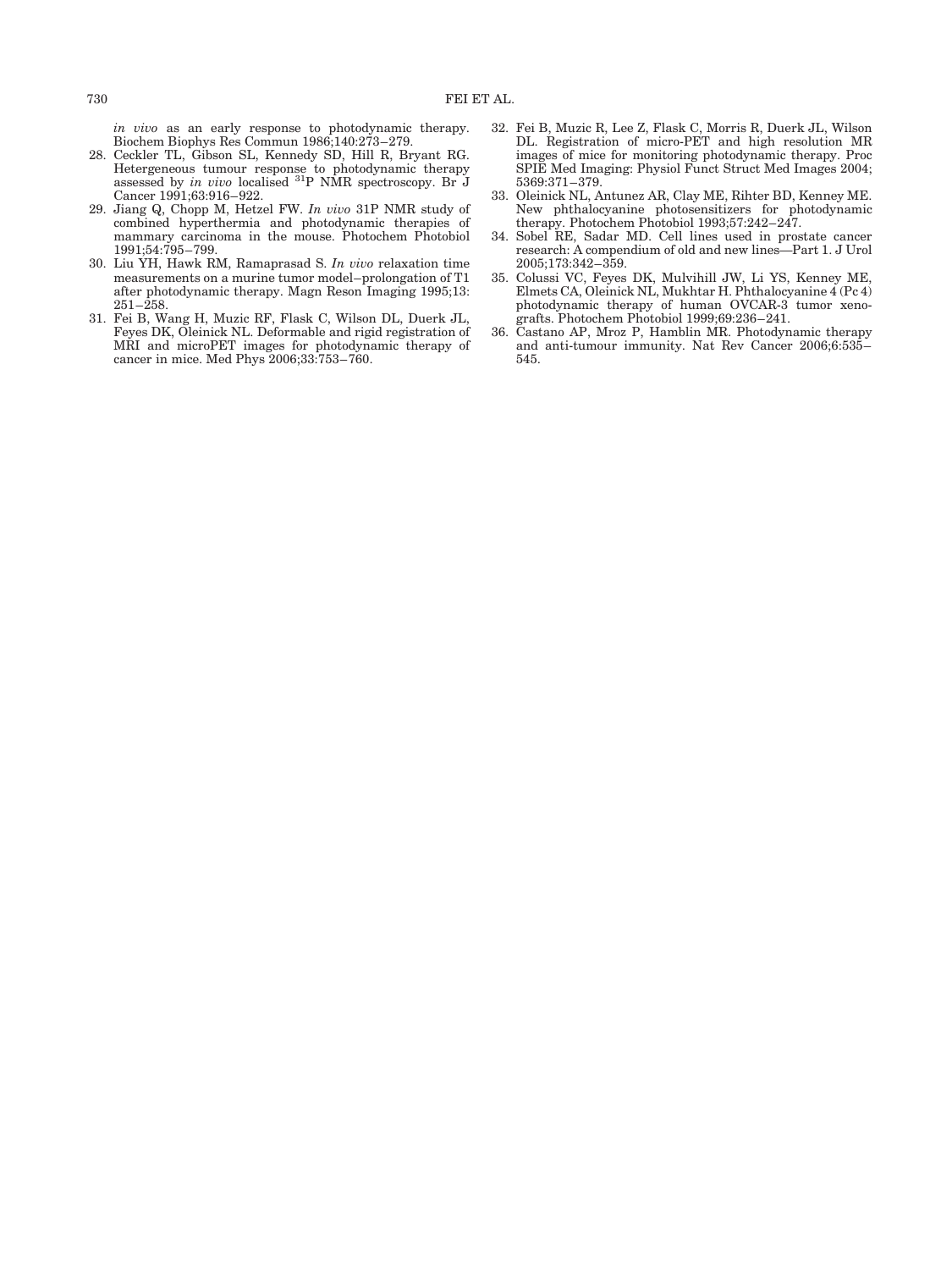in vivo as an early response to photodynamic therapy. Biochem Biophys Res Commun 1986;140:273–279.

- 28. Ceckler TL, Gibson SL, Kennedy SD, Hill R, Bryant RG. Hetergeneous tumour response to photodynamic therapy<br>assessed by *in vivo* localised <sup>31</sup>P NMR spectroscopy. Br J Cancer 1991;63:916-922.
- 29. Jiang Q, Chopp M, Hetzel FW. In vivo 31P NMR study of combined hyperthermia and photodynamic therapies of mammary carcinoma in the mouse. Photochem Photobiol 1991;54:795–799.
- 30. Liu YH, Hawk RM, Ramaprasad S. In vivo relaxation time measurements on a murine tumor model–prolongation of T1 after photodynamic therapy. Magn Reson Imaging 1995;13:  $251 - 258.$
- 31. Fei B, Wang H, Muzic RF, Flask C, Wilson DL, Duerk JL, Feyes DK, Oleinick NL. Deformable and rigid registration of MRI and microPET images for photodynamic therapy of cancer in mice. Med Phys 2006;33:753–760.
- 32. Fei B, Muzic R, Lee Z, Flask C, Morris R, Duerk JL, Wilson DL. Registration of micro-PET and high resolution MR images of mice for monitoring photodynamic therapy. Proc SPIE Med Imaging: Physiol Funct Struct Med Images 2004; 5369:371–379.
- 33. Oleinick NL, Antunez AR, Clay ME, Rihter BD, Kenney ME. New phthalocyanine photosensitizers for photodynamic therapy. Photochem Photobiol 1993;57:242–247.
- 34. Sobel RE, Sadar MD. Cell lines used in prostate cancer research: A compendium of old and new lines—Part 1. J Urol 2005;173:342–359.
- 35. Colussi VC, Feyes DK, Mulvihill JW, Li YS, Kenney ME, Elmets CA, Oleinick NL, Mukhtar H. Phthalocyanine 4 (Pc 4) photodynamic therapy of human OVCAR-3 tumor xenografts. Photochem Photobiol 1999;69:236–241.
- 36. Castano AP, Mroz P, Hamblin MR. Photodynamic therapy and anti-tumour immunity. Nat Rev Cancer 2006;6:535– 545.